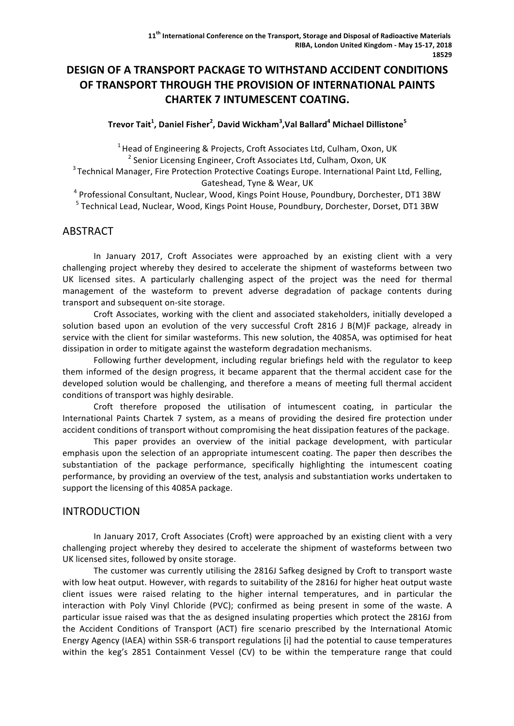# **DESIGN OF A TRANSPORT PACKAGE TO WITHSTAND ACCIDENT CONDITIONS OF TRANSPORT THROUGH THE PROVISION OF INTERNATIONAL PAINTS CHARTEK 7 INTUMESCENT COATING.**

#### **Trevor Tait<sup>1</sup> , Daniel Fisher<sup>2</sup> , David Wickham<sup>3</sup> ,Val Ballard<sup>4</sup> Michael Dillistone<sup>5</sup>**

 $1$  Head of Engineering & Projects, Croft Associates Ltd, Culham, Oxon, UK

 $2$  Senior Licensing Engineer, Croft Associates Ltd, Culham, Oxon, UK

 $3$  Technical Manager, Fire Protection Protective Coatings Europe. International Paint Ltd, Felling, Gateshead, Tyne & Wear, UK

 $4$  Professional Consultant, Nuclear, Wood, Kings Point House, Poundbury, Dorchester, DT1 3BW <sup>5</sup> Technical Lead, Nuclear, Wood, Kings Point House, Poundbury, Dorchester, Dorset, DT1 3BW

### ABSTRACT

In January 2017, Croft Associates were approached by an existing client with a very challenging project whereby they desired to accelerate the shipment of wasteforms between two UK licensed sites. A particularly challenging aspect of the project was the need for thermal management of the wasteform to prevent adverse degradation of package contents during transport and subsequent on-site storage.

Croft Associates, working with the client and associated stakeholders, initially developed a solution based upon an evolution of the very successful Croft 2816 J B(M)F package, already in service with the client for similar wasteforms. This new solution, the 4085A, was optimised for heat dissipation in order to mitigate against the wasteform degradation mechanisms.

Following further development, including regular briefings held with the regulator to keep them informed of the design progress, it became apparent that the thermal accident case for the developed solution would be challenging, and therefore a means of meeting full thermal accident conditions of transport was highly desirable.

Croft therefore proposed the utilisation of intumescent coating, in particular the International Paints Chartek 7 system, as a means of providing the desired fire protection under accident conditions of transport without compromising the heat dissipation features of the package.

This paper provides an overview of the initial package development, with particular emphasis upon the selection of an appropriate intumescent coating. The paper then describes the substantiation of the package performance, specifically highlighting the intumescent coating performance, by providing an overview of the test, analysis and substantiation works undertaken to support the licensing of this 4085A package.

### INTRODUCTION

In January 2017, Croft Associates (Croft) were approached by an existing client with a very challenging project whereby they desired to accelerate the shipment of wasteforms between two UK licensed sites, followed by onsite storage.

The customer was currently utilising the 2816J Safkeg designed by Croft to transport waste with low heat output. However, with regards to suitability of the 2816J for higher heat output waste client issues were raised relating to the higher internal temperatures, and in particular the interaction with Poly Vinyl Chloride (PVC); confirmed as being present in some of the waste. A particular issue raised was that the as designed insulating properties which protect the 2816J from the Accident Conditions of Transport (ACT) fire scenario prescribed by the International Atomic Energy Agency (IAEA) within SSR-6 transport regulations [i] had the potential to cause temperatures within the keg's 2851 Containment Vessel (CV) to be within the temperature range that could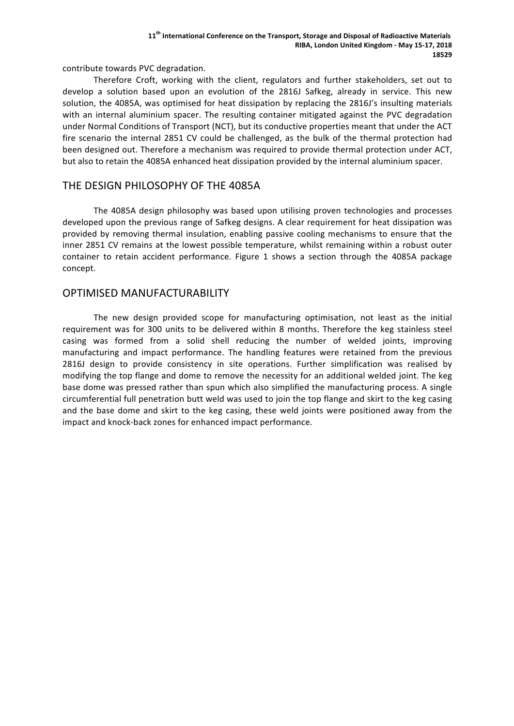contribute towards PVC degradation.

Therefore Croft, working with the client, regulators and further stakeholders, set out to develop a solution based upon an evolution of the 2816J Safkeg, already in service. This new solution, the 4085A, was optimised for heat dissipation by replacing the 2816J's insulting materials with an internal aluminium spacer. The resulting container mitigated against the PVC degradation under Normal Conditions of Transport (NCT), but its conductive properties meant that under the ACT fire scenario the internal 2851 CV could be challenged, as the bulk of the thermal protection had been designed out. Therefore a mechanism was required to provide thermal protection under ACT, but also to retain the 4085A enhanced heat dissipation provided by the internal aluminium spacer.

### THE DESIGN PHILOSOPHY OF THE 4085A

The 4085A design philosophy was based upon utilising proven technologies and processes developed upon the previous range of Safkeg designs. A clear requirement for heat dissipation was provided by removing thermal insulation, enabling passive cooling mechanisms to ensure that the inner 2851 CV remains at the lowest possible temperature, whilst remaining within a robust outer container to retain accident performance. Figure 1 shows a section through the 4085A package concept.

### OPTIMISED MANUFACTURABILITY

The new design provided scope for manufacturing optimisation, not least as the initial requirement was for 300 units to be delivered within 8 months. Therefore the keg stainless steel casing was formed from a solid shell reducing the number of welded joints, improving manufacturing and impact performance. The handling features were retained from the previous 2816J design to provide consistency in site operations. Further simplification was realised by modifying the top flange and dome to remove the necessity for an additional welded joint. The keg base dome was pressed rather than spun which also simplified the manufacturing process. A single circumferential full penetration butt weld was used to join the top flange and skirt to the keg casing and the base dome and skirt to the keg casing, these weld joints were positioned away from the impact and knock-back zones for enhanced impact performance.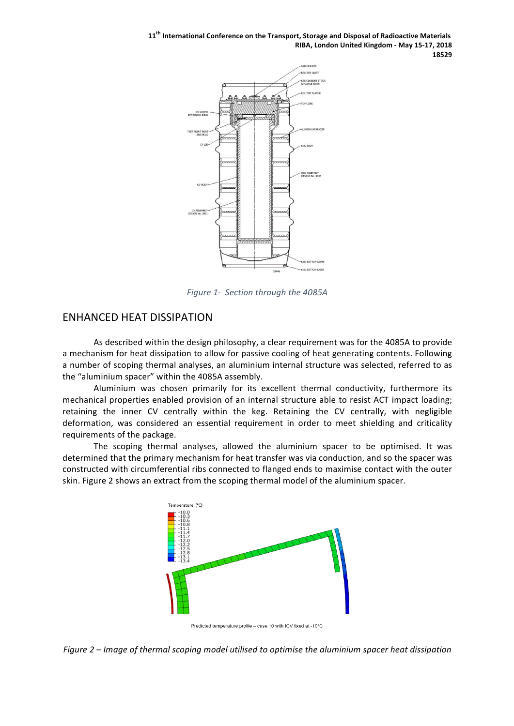11<sup>th</sup> International Conference on the Transport, Storage and Disposal of Radioactive Materials **RIBA, London United Kingdom - May 15-17, 2018 18529**



*Figure 1- Section through the 4085A*

### **ENHANCED HEAT DISSIPATION**

As described within the design philosophy, a clear requirement was for the 4085A to provide a mechanism for heat dissipation to allow for passive cooling of heat generating contents. Following a number of scoping thermal analyses, an aluminium internal structure was selected, referred to as the "aluminium spacer" within the 4085A assembly.

Aluminium was chosen primarily for its excellent thermal conductivity, furthermore its mechanical properties enabled provision of an internal structure able to resist ACT impact loading; retaining the inner CV centrally within the keg. Retaining the CV centrally, with negligible deformation, was considered an essential requirement in order to meet shielding and criticality requirements of the package.

The scoping thermal analyses, allowed the aluminium spacer to be optimised. It was determined that the primary mechanism for heat transfer was via conduction, and so the spacer was constructed with circumferential ribs connected to flanged ends to maximise contact with the outer skin. Figure 2 shows an extract from the scoping thermal model of the aluminium spacer.



Predicted temperature profile - case 10 with ICV fixed at -10°C

*Figure* 2 – *Image of thermal scoping model utilised to optimise the aluminium spacer heat dissipation*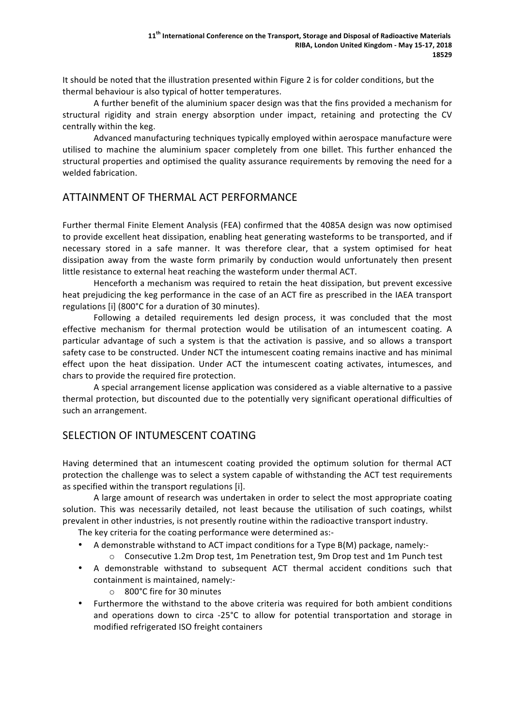It should be noted that the illustration presented within Figure 2 is for colder conditions, but the thermal behaviour is also typical of hotter temperatures.

A further benefit of the aluminium spacer design was that the fins provided a mechanism for structural rigidity and strain energy absorption under impact, retaining and protecting the CV centrally within the keg.

Advanced manufacturing techniques typically employed within aerospace manufacture were utilised to machine the aluminium spacer completely from one billet. This further enhanced the structural properties and optimised the quality assurance requirements by removing the need for a welded fabrication.

# ATTAINMENT OF THERMAL ACT PERFORMANCE

Further thermal Finite Element Analysis (FEA) confirmed that the 4085A design was now optimised to provide excellent heat dissipation, enabling heat generating wasteforms to be transported, and if necessary stored in a safe manner. It was therefore clear, that a system optimised for heat dissipation away from the waste form primarily by conduction would unfortunately then present little resistance to external heat reaching the wasteform under thermal ACT.

Henceforth a mechanism was required to retain the heat dissipation, but prevent excessive heat prejudicing the keg performance in the case of an ACT fire as prescribed in the IAEA transport regulations [i] (800°C for a duration of 30 minutes).

Following a detailed requirements led design process, it was concluded that the most effective mechanism for thermal protection would be utilisation of an intumescent coating. A particular advantage of such a system is that the activation is passive, and so allows a transport safety case to be constructed. Under NCT the intumescent coating remains inactive and has minimal effect upon the heat dissipation. Under ACT the intumescent coating activates, intumesces, and chars to provide the required fire protection.

A special arrangement license application was considered as a viable alternative to a passive thermal protection, but discounted due to the potentially very significant operational difficulties of such an arrangement.

# SELECTION OF INTUMESCENT COATING

Having determined that an intumescent coating provided the optimum solution for thermal ACT protection the challenge was to select a system capable of withstanding the ACT test requirements as specified within the transport regulations [i].

A large amount of research was undertaken in order to select the most appropriate coating solution. This was necessarily detailed, not least because the utilisation of such coatings, whilst prevalent in other industries, is not presently routine within the radioactive transport industry.

The key criteria for the coating performance were determined as:-

- A demonstrable withstand to ACT impact conditions for a Type  $B(M)$  package, namely:-
	- $\circ$  Consecutive 1.2m Drop test, 1m Penetration test, 9m Drop test and 1m Punch test
- A demonstrable withstand to subsequent ACT thermal accident conditions such that containment is maintained, namely:-
	- $\circ$  800°C fire for 30 minutes
- Furthermore the withstand to the above criteria was required for both ambient conditions and operations down to circa -25 $^{\circ}$ C to allow for potential transportation and storage in modified refrigerated ISO freight containers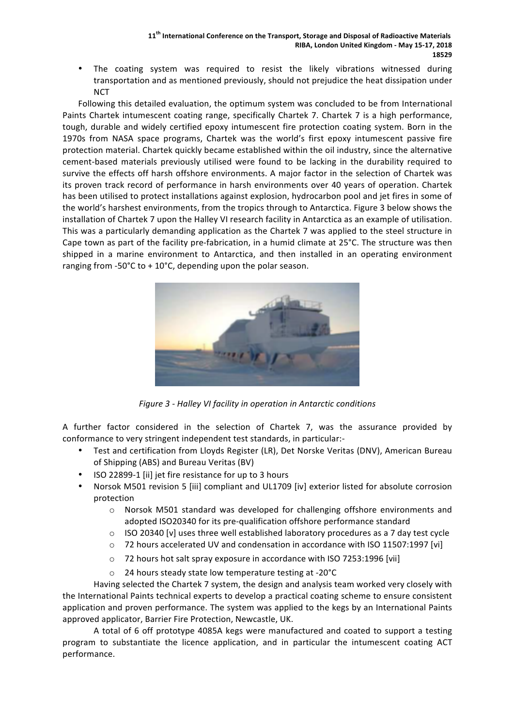The coating system was required to resist the likely vibrations witnessed during transportation and as mentioned previously, should not prejudice the heat dissipation under **NCT** 

Following this detailed evaluation, the optimum system was concluded to be from International Paints Chartek intumescent coating range, specifically Chartek 7. Chartek 7 is a high performance, tough, durable and widely certified epoxy intumescent fire protection coating system. Born in the 1970s from NASA space programs, Chartek was the world's first epoxy intumescent passive fire protection material. Chartek quickly became established within the oil industry, since the alternative cement-based materials previously utilised were found to be lacking in the durability required to survive the effects off harsh offshore environments. A major factor in the selection of Chartek was its proven track record of performance in harsh environments over 40 years of operation. Chartek has been utilised to protect installations against explosion, hydrocarbon pool and jet fires in some of the world's harshest environments, from the tropics through to Antarctica. Figure 3 below shows the installation of Chartek 7 upon the Halley VI research facility in Antarctica as an example of utilisation. This was a particularly demanding application as the Chartek 7 was applied to the steel structure in Cape town as part of the facility pre-fabrication, in a humid climate at  $25^{\circ}$ C. The structure was then shipped in a marine environment to Antarctica, and then installed in an operating environment ranging from -50 $^{\circ}$ C to + 10 $^{\circ}$ C, depending upon the polar season.



*Figure 3 - Halley VI facility in operation in Antarctic conditions*

A further factor considered in the selection of Chartek 7, was the assurance provided by conformance to very stringent independent test standards, in particular:-

- Test and certification from Lloyds Register (LR), Det Norske Veritas (DNV), American Bureau of Shipping (ABS) and Bureau Veritas (BV)
- ISO 22899-1 [ii] jet fire resistance for up to 3 hours
- Norsok M501 revision 5 [iii] compliant and UL1709 [iv] exterior listed for absolute corrosion protection
	- $\circ$  Norsok M501 standard was developed for challenging offshore environments and adopted ISO20340 for its pre-qualification offshore performance standard
	- $\circ$  ISO 20340 [v] uses three well established laboratory procedures as a 7 day test cycle
	- $\circ$  72 hours accelerated UV and condensation in accordance with ISO 11507:1997 [vi]
	- o 72 hours hot salt spray exposure in accordance with ISO 7253:1996 [vii]
	- o 24 hours steady state low temperature testing at -20°C

Having selected the Chartek 7 system, the design and analysis team worked very closely with the International Paints technical experts to develop a practical coating scheme to ensure consistent application and proven performance. The system was applied to the kegs by an International Paints approved applicator, Barrier Fire Protection, Newcastle, UK.

A total of 6 off prototype 4085A kegs were manufactured and coated to support a testing program to substantiate the licence application, and in particular the intumescent coating ACT performance.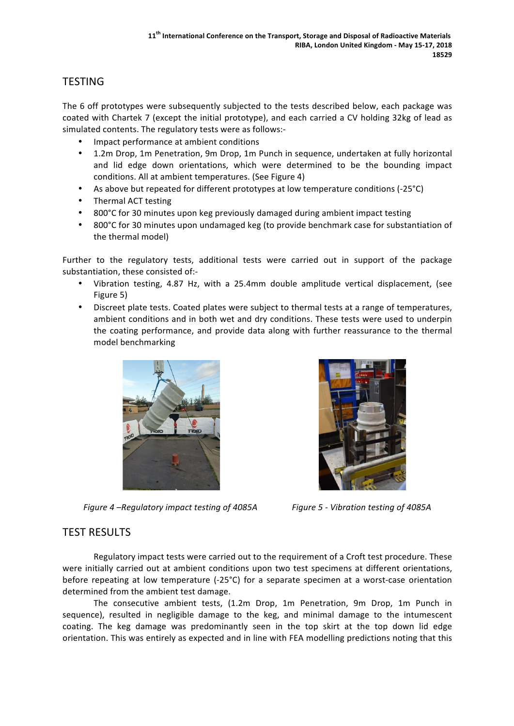# **TESTING**

The 6 off prototypes were subsequently subjected to the tests described below, each package was coated with Chartek 7 (except the initial prototype), and each carried a CV holding 32kg of lead as simulated contents. The regulatory tests were as follows:-

- Impact performance at ambient conditions
- 1.2m Drop, 1m Penetration, 9m Drop, 1m Punch in sequence, undertaken at fully horizontal and lid edge down orientations, which were determined to be the bounding impact conditions. All at ambient temperatures. (See Figure 4)
- As above but repeated for different prototypes at low temperature conditions (-25°C)
- Thermal ACT testing
- 800°C for 30 minutes upon keg previously damaged during ambient impact testing
- 800°C for 30 minutes upon undamaged keg (to provide benchmark case for substantiation of the thermal model)

Further to the regulatory tests, additional tests were carried out in support of the package substantiation, these consisted of:-

- Vibration testing, 4.87 Hz, with a 25.4mm double amplitude vertical displacement, (see Figure 5)
- Discreet plate tests. Coated plates were subject to thermal tests at a range of temperatures, ambient conditions and in both wet and dry conditions. These tests were used to underpin the coating performance, and provide data along with further reassurance to the thermal model benchmarking



*Figure 4* –Regulatory impact testing of 4085A *Figure 5 - Vibration testing of 4085A* 



### **TEST RESULTS**

Regulatory impact tests were carried out to the requirement of a Croft test procedure. These were initially carried out at ambient conditions upon two test specimens at different orientations, before repeating at low temperature  $(-25^{\circ}C)$  for a separate specimen at a worst-case orientation determined from the ambient test damage.

The consecutive ambient tests, (1.2m Drop, 1m Penetration, 9m Drop, 1m Punch in sequence), resulted in negligible damage to the keg, and minimal damage to the intumescent coating. The keg damage was predominantly seen in the top skirt at the top down lid edge orientation. This was entirely as expected and in line with FEA modelling predictions noting that this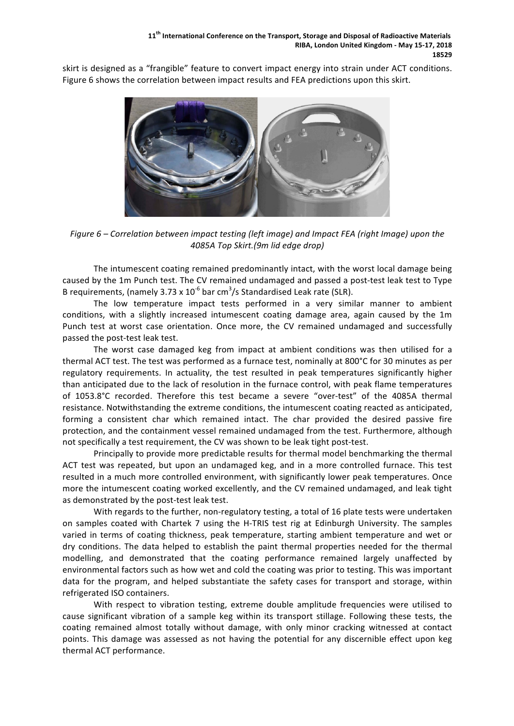skirt is designed as a "frangible" feature to convert impact energy into strain under ACT conditions. Figure 6 shows the correlation between impact results and FEA predictions upon this skirt.



*Figure* 6 – Correlation between impact testing (left image) and Impact FEA (right Image) upon the *4085A Top Skirt.(9m lid edge drop)*

The intumescent coating remained predominantly intact, with the worst local damage being caused by the 1m Punch test. The CV remained undamaged and passed a post-test leak test to Type B requirements, (namely 3.73 x 10<sup>-6</sup> bar cm<sup>3</sup>/s Standardised Leak rate (SLR).

The low temperature impact tests performed in a very similar manner to ambient conditions, with a slightly increased intumescent coating damage area, again caused by the 1m Punch test at worst case orientation. Once more, the CV remained undamaged and successfully passed the post-test leak test.

The worst case damaged keg from impact at ambient conditions was then utilised for a thermal ACT test. The test was performed as a furnace test, nominally at 800°C for 30 minutes as per regulatory requirements. In actuality, the test resulted in peak temperatures significantly higher than anticipated due to the lack of resolution in the furnace control, with peak flame temperatures of 1053.8°C recorded. Therefore this test became a severe "over-test" of the 4085A thermal resistance. Notwithstanding the extreme conditions, the intumescent coating reacted as anticipated, forming a consistent char which remained intact. The char provided the desired passive fire protection, and the containment vessel remained undamaged from the test. Furthermore, although not specifically a test requirement, the CV was shown to be leak tight post-test.

Principally to provide more predictable results for thermal model benchmarking the thermal ACT test was repeated, but upon an undamaged keg, and in a more controlled furnace. This test resulted in a much more controlled environment, with significantly lower peak temperatures. Once more the intumescent coating worked excellently, and the CV remained undamaged, and leak tight as demonstrated by the post-test leak test.

With regards to the further, non-regulatory testing, a total of 16 plate tests were undertaken on samples coated with Chartek 7 using the H-TRIS test rig at Edinburgh University. The samples varied in terms of coating thickness, peak temperature, starting ambient temperature and wet or dry conditions. The data helped to establish the paint thermal properties needed for the thermal modelling, and demonstrated that the coating performance remained largely unaffected by environmental factors such as how wet and cold the coating was prior to testing. This was important data for the program, and helped substantiate the safety cases for transport and storage, within refrigerated ISO containers.

With respect to vibration testing, extreme double amplitude frequencies were utilised to cause significant vibration of a sample keg within its transport stillage. Following these tests, the coating remained almost totally without damage, with only minor cracking witnessed at contact points. This damage was assessed as not having the potential for any discernible effect upon keg thermal ACT performance.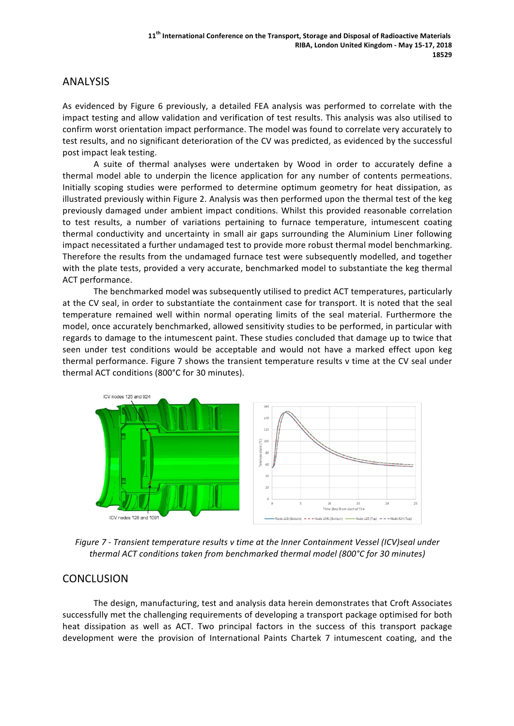### ANALYSIS

As evidenced by Figure 6 previously, a detailed FEA analysis was performed to correlate with the impact testing and allow validation and verification of test results. This analysis was also utilised to confirm worst orientation impact performance. The model was found to correlate very accurately to test results, and no significant deterioration of the CV was predicted, as evidenced by the successful post impact leak testing.

A suite of thermal analyses were undertaken by Wood in order to accurately define a thermal model able to underpin the licence application for any number of contents permeations. Initially scoping studies were performed to determine optimum geometry for heat dissipation, as illustrated previously within Figure 2. Analysis was then performed upon the thermal test of the keg previously damaged under ambient impact conditions. Whilst this provided reasonable correlation to test results, a number of variations pertaining to furnace temperature, intumescent coating thermal conductivity and uncertainty in small air gaps surrounding the Aluminium Liner following impact necessitated a further undamaged test to provide more robust thermal model benchmarking. Therefore the results from the undamaged furnace test were subsequently modelled, and together with the plate tests, provided a very accurate, benchmarked model to substantiate the keg thermal ACT performance.

The benchmarked model was subsequently utilised to predict ACT temperatures, particularly at the CV seal, in order to substantiate the containment case for transport. It is noted that the seal temperature remained well within normal operating limits of the seal material. Furthermore the model, once accurately benchmarked, allowed sensitivity studies to be performed, in particular with regards to damage to the intumescent paint. These studies concluded that damage up to twice that seen under test conditions would be acceptable and would not have a marked effect upon keg thermal performance. Figure 7 shows the transient temperature results v time at the CV seal under thermal ACT conditions (800°C for 30 minutes).



*Figure* 7 - *Transient temperature results* v time at the *Inner Containment Vessel* (ICV)seal under *thermal ACT conditions taken from benchmarked thermal model (800°C for 30 minutes)*

### **CONCLUSION**

The design, manufacturing, test and analysis data herein demonstrates that Croft Associates successfully met the challenging requirements of developing a transport package optimised for both heat dissipation as well as ACT. Two principal factors in the success of this transport package development were the provision of International Paints Chartek 7 intumescent coating, and the